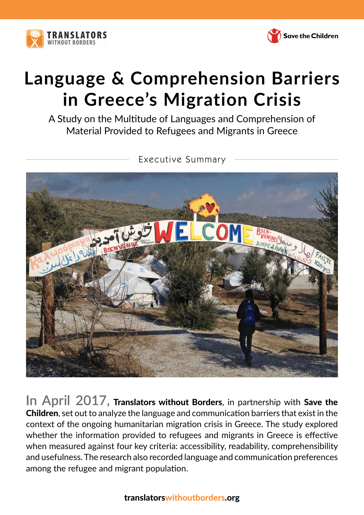



# **Language & Comprehension Barriers in Greece's Migration Crisis**

A Study on the Multitude of Languages and Comprehension of Material Provided to Refugees and Migrants in Greece



**In April 2017,** Translators without Borders, in partnership with Save the Children, set out to analyze the language and communication barriers that exist in the context of the ongoing humanitarian migration crisis in Greece. The study explored whether the information provided to refugees and migrants in Greece is effective when measured against four key criteria: accessibility, readability, comprehensibility and usefulness. The research also recorded language and communication preferences among the refugee and migrant population.

# translatorswithoutborders.org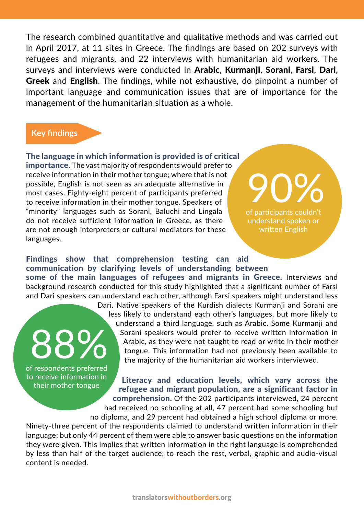The research combined quantitative and qualitative methods and was carried out in April 2017, at 11 sites in Greece. The findings are based on 202 surveys with refugees and migrants, and 22 interviews with humanitarian aid workers. The surveys and interviews were conducted in Arabic, Kurmanji, Sorani, Farsi, Dari, Greek and English. The findings, while not exhaustive, do pinpoint a number of important language and communication issues that are of importance for the management of the humanitarian situation as a whole.

# **Key findings**

The language in which information is provided is of critical importance. The vast majority of respondents would prefer to receive information in their mother tongue; where that is not possible, English is not seen as an adequate alternative in most cases. Eighty-eight percent of participants preferred to receive information in their mother tongue. Speakers of "minority" languages such as Sorani, Baluchi and Lingala do not receive sufficient information in Greece, as there are not enough interpreters or cultural mediators for these languages.

of participants couldn't understand spoken or written English

Findings show that comprehension testing can aid communication by clarifying levels of understanding between some of the main languages of refugees and migrants in Greece. Interviews and background research conducted for this study highlighted that a significant number of Farsi and Dari speakers can understand each other, although Farsi speakers might understand less

> Dari. Native speakers of the Kurdish dialects Kurmanii and Sorani are less likely to understand each other's languages, but more likely to understand a third language, such as Arabic. Some Kurmanji and Sorani speakers would prefer to receive written information in Arabic, as they were not taught to read or write in their mother tongue. This information had not previously been available to the majority of the humanitarian aid workers interviewed.

of respondents preferred to receive information in their mother tongue

Literacy and education levels, which vary across the refugee and migrant population, are a significant factor in comprehension. Of the 202 participants interviewed, 24 percent

had received no schooling at all, 47 percent had some schooling but no diploma, and 29 percent had obtained a high school diploma or more.

Ninety-three percent of the respondents claimed to understand written information in their language; but only 44 percent of them were able to answer basic questions on the information they were given. This implies that written information in the right language is comprehended by less than half of the target audience; to reach the rest, verbal, graphic and audio-visual content is needed.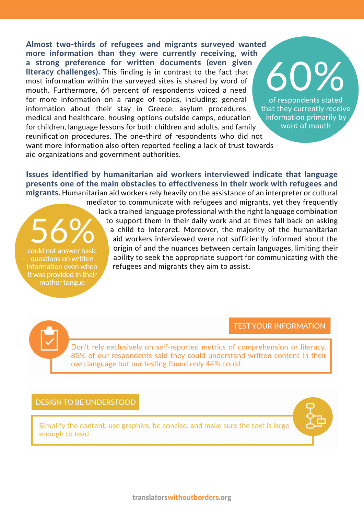Almost two-thirds of refugees and migrants surveyed wanted more information than they were currently receiving, with a strong preference for written documents (even given 60% literacy challenges). This finding is in contrast to the fact that most information within the surveyed sites is shared by word of mouth. Furthermore, 64 percent of respondents voiced a need for more information on a range of topics, including: general information about their stay in Greece, asylum procedures, that they currently receive information primarily by medical and healthcare, housing options outside camps, education for children, language lessons for both children and adults, and family reunification procedures. The one-third of respondents who did not want more information also often reported feeling a lack of trust towards aid organizations and government authorities.

Issues identified by humanitarian aid workers interviewed indicate that language presents one of the main obstacles to effectiveness in their work with refugees and migrants. Humanitarian aid workers rely heavily on the assistance of an interpreter or cultural

mediator to communicate with refugees and migrants, yet they frequently lack a trained language professional with the right language combination to support them in their daily work and at times fall back on asking a child to interpret. Moreover, the majority of the humanitarian aid workers interviewed were not sufficiently informed about the origin of and the nuances between certain languages, limiting their could not answer basic ability to seek the appropriate support for communicating with the questions on written information even when refugees and migrants they aim to assist.

## TEST YOUR INFORMATION

of respondents stated

word of mouth

Don't rely exclusively on self-reported metrics of comprehension or literacy. 85% of our respondents said they could understand written content in their own language but our testing found only 44% could.

#### DESIGN TO BE UNDERSTOOD

it was provided in their mother tongue

> Simplify the content, use graphics, be concise, and make sure the text is large enough to read.